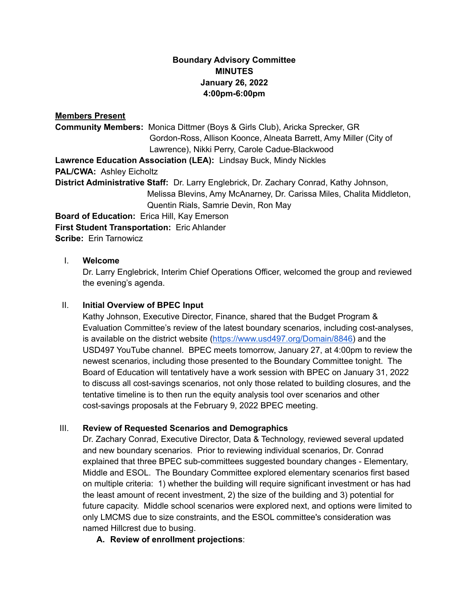# **Boundary Advisory Committee MINUTES January 26, 2022 4:00pm-6:00pm**

## **Members Present**

**Community Members:** Monica Dittmer (Boys & Girls Club), Aricka Sprecker, GR Gordon-Ross, Allison Koonce, Alneata Barrett, Amy Miller (City of Lawrence), Nikki Perry, Carole Cadue-Blackwood **Lawrence Education Association (LEA):** Lindsay Buck, Mindy Nickles **PAL/CWA:** Ashley Eicholtz **District Administrative Staff:** Dr. Larry Englebrick, Dr. Zachary Conrad, Kathy Johnson, Melissa Blevins, Amy McAnarney, Dr. Carissa Miles, Chalita Middleton, Quentin Rials, Samrie Devin, Ron May **Board of Education:** Erica Hill, Kay Emerson

**First Student Transportation:** Eric Ahlander

**Scribe:** Erin Tarnowicz

### I. **Welcome**

Dr. Larry Englebrick, Interim Chief Operations Officer, welcomed the group and reviewed the evening's agenda.

### II. **Initial Overview of BPEC Input**

Kathy Johnson, Executive Director, Finance, shared that the Budget Program & Evaluation Committee's review of the latest boundary scenarios, including cost-analyses, is available on the district website ([https://www.usd497.org/Domain/8846\)](https://www.usd497.org/Domain/8846) and the USD497 YouTube channel. BPEC meets tomorrow, January 27, at 4:00pm to review the newest scenarios, including those presented to the Boundary Committee tonight. The Board of Education will tentatively have a work session with BPEC on January 31, 2022 to discuss all cost-savings scenarios, not only those related to building closures, and the tentative timeline is to then run the equity analysis tool over scenarios and other cost-savings proposals at the February 9, 2022 BPEC meeting.

### III. **Review of Requested Scenarios and Demographics**

Dr. Zachary Conrad, Executive Director, Data & Technology, reviewed several updated and new boundary scenarios. Prior to reviewing individual scenarios, Dr. Conrad explained that three BPEC sub-committees suggested boundary changes - Elementary, Middle and ESOL. The Boundary Committee explored elementary scenarios first based on multiple criteria: 1) whether the building will require significant investment or has had the least amount of recent investment, 2) the size of the building and 3) potential for future capacity. Middle school scenarios were explored next, and options were limited to only LMCMS due to size constraints, and the ESOL committee's consideration was named Hillcrest due to busing.

**A. Review of enrollment projections**: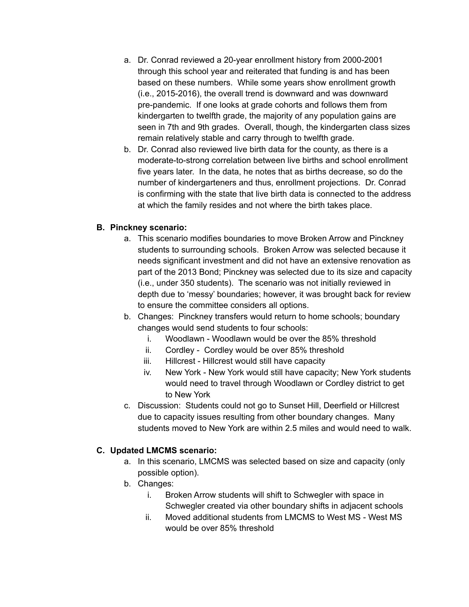- a. Dr. Conrad reviewed a 20-year enrollment history from 2000-2001 through this school year and reiterated that funding is and has been based on these numbers. While some years show enrollment growth (i.e., 2015-2016), the overall trend is downward and was downward pre-pandemic. If one looks at grade cohorts and follows them from kindergarten to twelfth grade, the majority of any population gains are seen in 7th and 9th grades. Overall, though, the kindergarten class sizes remain relatively stable and carry through to twelfth grade.
- b. Dr. Conrad also reviewed live birth data for the county, as there is a moderate-to-strong correlation between live births and school enrollment five years later. In the data, he notes that as births decrease, so do the number of kindergarteners and thus, enrollment projections. Dr. Conrad is confirming with the state that live birth data is connected to the address at which the family resides and not where the birth takes place.

## **B. Pinckney scenario:**

- a. This scenario modifies boundaries to move Broken Arrow and Pinckney students to surrounding schools. Broken Arrow was selected because it needs significant investment and did not have an extensive renovation as part of the 2013 Bond; Pinckney was selected due to its size and capacity (i.e., under 350 students). The scenario was not initially reviewed in depth due to 'messy' boundaries; however, it was brought back for review to ensure the committee considers all options.
- b. Changes: Pinckney transfers would return to home schools; boundary changes would send students to four schools:
	- i. Woodlawn Woodlawn would be over the 85% threshold
	- ii. Cordley Cordley would be over 85% threshold
	- iii. Hillcrest Hillcrest would still have capacity
	- iv. New York New York would still have capacity; New York students would need to travel through Woodlawn or Cordley district to get to New York
- c. Discussion: Students could not go to Sunset Hill, Deerfield or Hillcrest due to capacity issues resulting from other boundary changes. Many students moved to New York are within 2.5 miles and would need to walk.

### **C. Updated LMCMS scenario:**

- a. In this scenario, LMCMS was selected based on size and capacity (only possible option).
- b. Changes:
	- i. Broken Arrow students will shift to Schwegler with space in Schwegler created via other boundary shifts in adjacent schools
	- ii. Moved additional students from LMCMS to West MS West MS would be over 85% threshold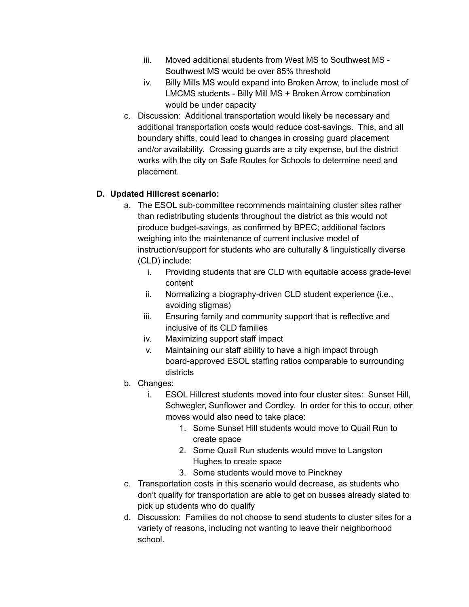- iii. Moved additional students from West MS to Southwest MS Southwest MS would be over 85% threshold
- iv. Billy Mills MS would expand into Broken Arrow, to include most of LMCMS students - Billy Mill MS + Broken Arrow combination would be under capacity
- c. Discussion: Additional transportation would likely be necessary and additional transportation costs would reduce cost-savings. This, and all boundary shifts, could lead to changes in crossing guard placement and/or availability. Crossing guards are a city expense, but the district works with the city on Safe Routes for Schools to determine need and placement.

# **D. Updated Hillcrest scenario:**

- a. The ESOL sub-committee recommends maintaining cluster sites rather than redistributing students throughout the district as this would not produce budget-savings, as confirmed by BPEC; additional factors weighing into the maintenance of current inclusive model of instruction/support for students who are culturally & linguistically diverse (CLD) include:
	- i. Providing students that are CLD with equitable access grade-level content
	- ii. Normalizing a biography-driven CLD student experience (i.e., avoiding stigmas)
	- iii. Ensuring family and community support that is reflective and inclusive of its CLD families
	- iv. Maximizing support staff impact
	- v. Maintaining our staff ability to have a high impact through board-approved ESOL staffing ratios comparable to surrounding districts
- b. Changes:
	- i. ESOL Hillcrest students moved into four cluster sites: Sunset Hill, Schwegler, Sunflower and Cordley. In order for this to occur, other moves would also need to take place:
		- 1. Some Sunset Hill students would move to Quail Run to create space
		- 2. Some Quail Run students would move to Langston Hughes to create space
		- 3. Some students would move to Pinckney
- c. Transportation costs in this scenario would decrease, as students who don't qualify for transportation are able to get on busses already slated to pick up students who do qualify
- d. Discussion: Families do not choose to send students to cluster sites for a variety of reasons, including not wanting to leave their neighborhood school.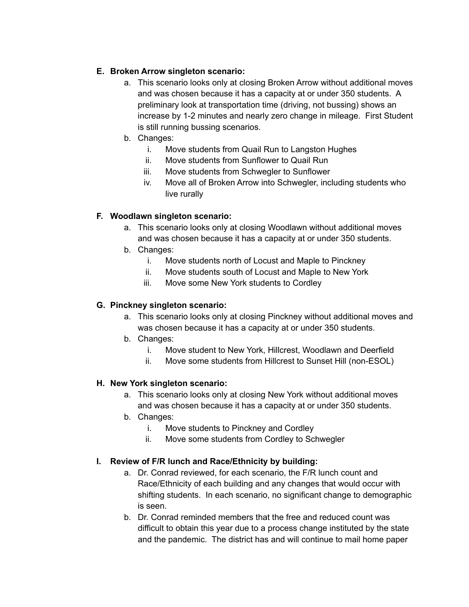# **E. Broken Arrow singleton scenario:**

- a. This scenario looks only at closing Broken Arrow without additional moves and was chosen because it has a capacity at or under 350 students. A preliminary look at transportation time (driving, not bussing) shows an increase by 1-2 minutes and nearly zero change in mileage. First Student is still running bussing scenarios.
- b. Changes:
	- i. Move students from Quail Run to Langston Hughes
		- ii. Move students from Sunflower to Quail Run
	- iii. Move students from Schwegler to Sunflower
	- iv. Move all of Broken Arrow into Schwegler, including students who live rurally

# **F. Woodlawn singleton scenario:**

- a. This scenario looks only at closing Woodlawn without additional moves and was chosen because it has a capacity at or under 350 students.
- b. Changes:
	- i. Move students north of Locust and Maple to Pinckney
	- ii. Move students south of Locust and Maple to New York
	- iii. Move some New York students to Cordley

# **G. Pinckney singleton scenario:**

- a. This scenario looks only at closing Pinckney without additional moves and was chosen because it has a capacity at or under 350 students.
- b. Changes:
	- i. Move student to New York, Hillcrest, Woodlawn and Deerfield
	- ii. Move some students from Hillcrest to Sunset Hill (non-ESOL)

# **H. New York singleton scenario:**

- a. This scenario looks only at closing New York without additional moves and was chosen because it has a capacity at or under 350 students.
- b. Changes:
	- i. Move students to Pinckney and Cordley
	- ii. Move some students from Cordley to Schwegler

# **I. Review of F/R lunch and Race/Ethnicity by building:**

- a. Dr. Conrad reviewed, for each scenario, the F/R lunch count and Race/Ethnicity of each building and any changes that would occur with shifting students. In each scenario, no significant change to demographic is seen.
- b. Dr. Conrad reminded members that the free and reduced count was difficult to obtain this year due to a process change instituted by the state and the pandemic. The district has and will continue to mail home paper